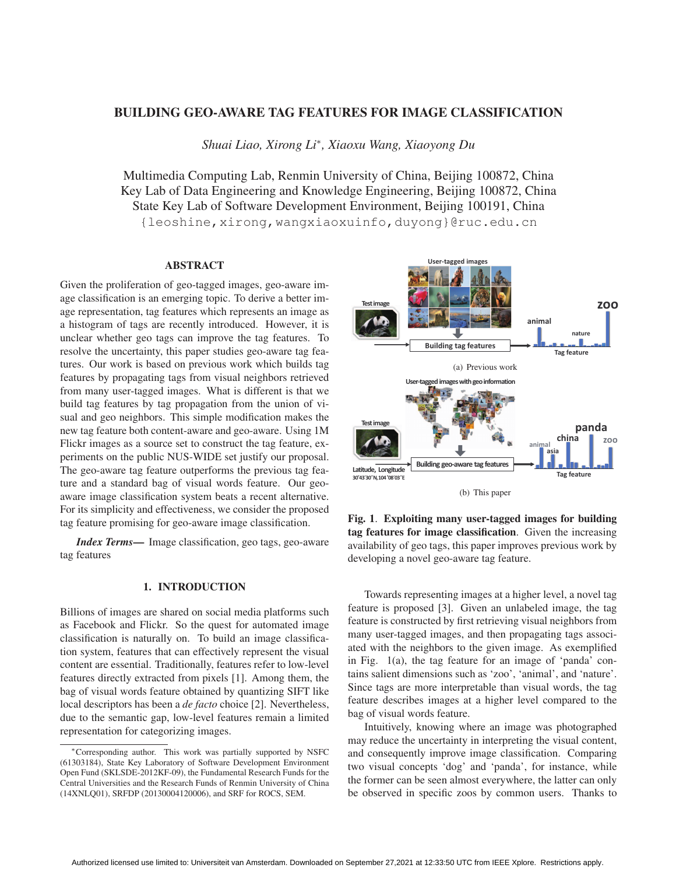# **BUILDING GEO-AWARE TAG FEATURES FOR IMAGE CLASSIFICATION**

*Shuai Liao, Xirong Li*<sup>∗</sup>*, Xiaoxu Wang, Xiaoyong Du*

Multimedia Computing Lab, Renmin University of China, Beijing 100872, China Key Lab of Data Engineering and Knowledge Engineering, Beijing 100872, China State Key Lab of Software Development Environment, Beijing 100191, China {leoshine,xirong,wangxiaoxuinfo,duyong}@ruc.edu.cn

## **ABSTRACT**

Given the proliferation of geo-tagged images, geo-aware image classification is an emerging topic. To derive a better image representation, tag features which represents an image as a histogram of tags are recently introduced. However, it is unclear whether geo tags can improve the tag features. To resolve the uncertainty, this paper studies geo-aware tag features. Our work is based on previous work which builds tag features by propagating tags from visual neighbors retrieved from many user-tagged images. What is different is that we build tag features by tag propagation from the union of visual and geo neighbors. This simple modification makes the new tag feature both content-aware and geo-aware. Using 1M Flickr images as a source set to construct the tag feature, experiments on the public NUS-WIDE set justify our proposal. The geo-aware tag feature outperforms the previous tag feature and a standard bag of visual words feature. Our geoaware image classification system beats a recent alternative. For its simplicity and effectiveness, we consider the proposed tag feature promising for geo-aware image classification.

*Index Terms***—** Image classification, geo tags, geo-aware tag features

# **1. INTRODUCTION**

Billions of images are shared on social media platforms such as Facebook and Flickr. So the quest for automated image classification is naturally on. To build an image classification system, features that can effectively represent the visual content are essential. Traditionally, features refer to low-level features directly extracted from pixels [1]. Among them, the bag of visual words feature obtained by quantizing SIFT like local descriptors has been a *de facto* choice [2]. Nevertheless, due to the semantic gap, low-level features remain a limited representation for categorizing images.



**Fig. 1**. **Exploiting many user-tagged images for building tag features for image classification**. Given the increasing availability of geo tags, this paper improves previous work by developing a novel geo-aware tag feature.

Towards representing images at a higher level, a novel tag feature is proposed [3]. Given an unlabeled image, the tag feature is constructed by first retrieving visual neighbors from many user-tagged images, and then propagating tags associated with the neighbors to the given image. As exemplified in Fig. 1(a), the tag feature for an image of 'panda' contains salient dimensions such as 'zoo', 'animal', and 'nature'. Since tags are more interpretable than visual words, the tag feature describes images at a higher level compared to the bag of visual words feature.

Intuitively, knowing where an image was photographed may reduce the uncertainty in interpreting the visual content, and consequently improve image classification. Comparing two visual concepts 'dog' and 'panda', for instance, while the former can be seen almost everywhere, the latter can only be observed in specific zoos by common users. Thanks to

<sup>∗</sup>Corresponding author. This work was partially supported by NSFC (61303184), State Key Laboratory of Software Development Environment Open Fund (SKLSDE-2012KF-09), the Fundamental Research Funds for the Central Universities and the Research Funds of Renmin University of China (14XNLQ01), SRFDP (20130004120006), and SRF for ROCS, SEM.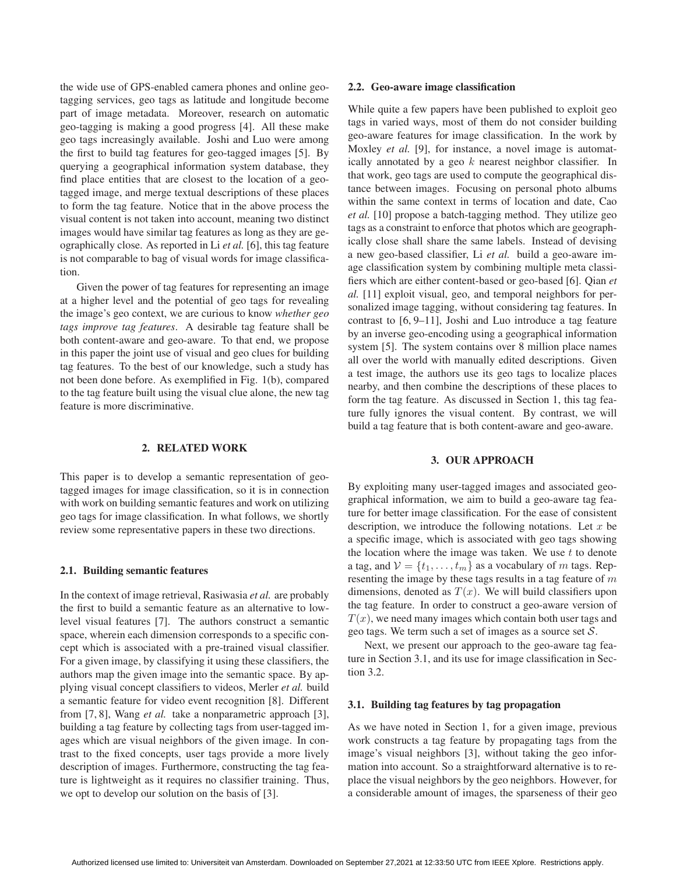the wide use of GPS-enabled camera phones and online geotagging services, geo tags as latitude and longitude become part of image metadata. Moreover, research on automatic geo-tagging is making a good progress [4]. All these make geo tags increasingly available. Joshi and Luo were among the first to build tag features for geo-tagged images [5]. By querying a geographical information system database, they find place entities that are closest to the location of a geotagged image, and merge textual descriptions of these places to form the tag feature. Notice that in the above process the visual content is not taken into account, meaning two distinct images would have similar tag features as long as they are geographically close. As reported in Li *et al.* [6], this tag feature is not comparable to bag of visual words for image classification.

Given the power of tag features for representing an image at a higher level and the potential of geo tags for revealing the image's geo context, we are curious to know *whether geo tags improve tag features*. A desirable tag feature shall be both content-aware and geo-aware. To that end, we propose in this paper the joint use of visual and geo clues for building tag features. To the best of our knowledge, such a study has not been done before. As exemplified in Fig. 1(b), compared to the tag feature built using the visual clue alone, the new tag feature is more discriminative.

## **2. RELATED WORK**

This paper is to develop a semantic representation of geotagged images for image classification, so it is in connection with work on building semantic features and work on utilizing geo tags for image classification. In what follows, we shortly review some representative papers in these two directions.

### **2.1. Building semantic features**

In the context of image retrieval, Rasiwasia *et al.* are probably the first to build a semantic feature as an alternative to lowlevel visual features [7]. The authors construct a semantic space, wherein each dimension corresponds to a specific concept which is associated with a pre-trained visual classifier. For a given image, by classifying it using these classifiers, the authors map the given image into the semantic space. By applying visual concept classifiers to videos, Merler *et al.* build a semantic feature for video event recognition [8]. Different from [7, 8], Wang *et al.* take a nonparametric approach [3], building a tag feature by collecting tags from user-tagged images which are visual neighbors of the given image. In contrast to the fixed concepts, user tags provide a more lively description of images. Furthermore, constructing the tag feature is lightweight as it requires no classifier training. Thus, we opt to develop our solution on the basis of [3].

### **2.2. Geo-aware image classification**

While quite a few papers have been published to exploit geo tags in varied ways, most of them do not consider building geo-aware features for image classification. In the work by Moxley *et al.* [9], for instance, a novel image is automatically annotated by a geo  $k$  nearest neighbor classifier. In that work, geo tags are used to compute the geographical distance between images. Focusing on personal photo albums within the same context in terms of location and date, Cao *et al.* [10] propose a batch-tagging method. They utilize geo tags as a constraint to enforce that photos which are geographically close shall share the same labels. Instead of devising a new geo-based classifier, Li *et al.* build a geo-aware image classification system by combining multiple meta classifiers which are either content-based or geo-based [6]. Qian *et al.* [11] exploit visual, geo, and temporal neighbors for personalized image tagging, without considering tag features. In contrast to [6, 9–11], Joshi and Luo introduce a tag feature by an inverse geo-encoding using a geographical information system [5]. The system contains over 8 million place names all over the world with manually edited descriptions. Given a test image, the authors use its geo tags to localize places nearby, and then combine the descriptions of these places to form the tag feature. As discussed in Section 1, this tag feature fully ignores the visual content. By contrast, we will build a tag feature that is both content-aware and geo-aware.

### **3. OUR APPROACH**

By exploiting many user-tagged images and associated geographical information, we aim to build a geo-aware tag feature for better image classification. For the ease of consistent description, we introduce the following notations. Let  $x$  be a specific image, which is associated with geo tags showing the location where the image was taken. We use  $t$  to denote a tag, and  $V = \{t_1, \ldots, t_m\}$  as a vocabulary of m tags. Representing the image by these tags results in a tag feature of  $m$ dimensions, denoted as  $T(x)$ . We will build classifiers upon the tag feature. In order to construct a geo-aware version of  $T(x)$ , we need many images which contain both user tags and geo tags. We term such a set of images as a source set  $S$ .

Next, we present our approach to the geo-aware tag feature in Section 3.1, and its use for image classification in Section  $3.2<sub>1</sub>$ 

## **3.1. Building tag features by tag propagation**

As we have noted in Section 1, for a given image, previous work constructs a tag feature by propagating tags from the image's visual neighbors [3], without taking the geo information into account. So a straightforward alternative is to replace the visual neighbors by the geo neighbors. However, for a considerable amount of images, the sparseness of their geo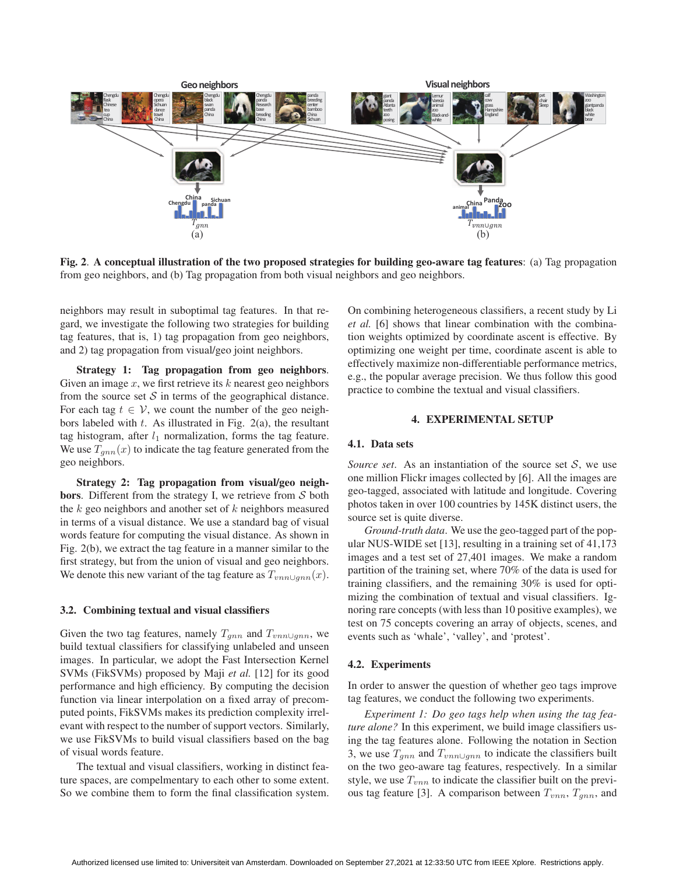

**Fig. 2**. **A conceptual illustration of the two proposed strategies for building geo-aware tag features**: (a) Tag propagation from geo neighbors, and (b) Tag propagation from both visual neighbors and geo neighbors.

neighbors may result in suboptimal tag features. In that regard, we investigate the following two strategies for building tag features, that is, 1) tag propagation from geo neighbors, and 2) tag propagation from visual/geo joint neighbors.

**Strategy 1: Tag propagation from geo neighbors**. Given an image  $x$ , we first retrieve its  $k$  nearest geo neighbors from the source set  $S$  in terms of the geographical distance. For each tag  $t \in V$ , we count the number of the geo neighbors labeled with  $t$ . As illustrated in Fig. 2(a), the resultant tag histogram, after  $l_1$  normalization, forms the tag feature. We use  $T_{gnn}(x)$  to indicate the tag feature generated from the geo neighbors.

**Strategy 2: Tag propagation from visual/geo neighbors**. Different from the strategy I, we retrieve from S both the  $k$  geo neighbors and another set of  $k$  neighbors measured in terms of a visual distance. We use a standard bag of visual words feature for computing the visual distance. As shown in Fig. 2(b), we extract the tag feature in a manner similar to the first strategy, but from the union of visual and geo neighbors. We denote this new variant of the tag feature as  $T_{vnn\cup qnn}(x)$ .

# **3.2. Combining textual and visual classifiers**

Given the two tag features, namely  $T_{gnn}$  and  $T_{vnn\cup gnn}$ , we build textual classifiers for classifying unlabeled and unseen images. In particular, we adopt the Fast Intersection Kernel SVMs (FikSVMs) proposed by Maji *et al.* [12] for its good performance and high efficiency. By computing the decision function via linear interpolation on a fixed array of precomputed points, FikSVMs makes its prediction complexity irrelevant with respect to the number of support vectors. Similarly, we use FikSVMs to build visual classifiers based on the bag of visual words feature.

The textual and visual classifiers, working in distinct feature spaces, are compelmentary to each other to some extent. So we combine them to form the final classification system. On combining heterogeneous classifiers, a recent study by Li *et al.* [6] shows that linear combination with the combination weights optimized by coordinate ascent is effective. By optimizing one weight per time, coordinate ascent is able to effectively maximize non-differentiable performance metrics, e.g., the popular average precision. We thus follow this good practice to combine the textual and visual classifiers.

## **4. EXPERIMENTAL SETUP**

### **4.1. Data sets**

*Source set.* As an instantiation of the source set  $S$ , we use one million Flickr images collected by [6]. All the images are geo-tagged, associated with latitude and longitude. Covering photos taken in over 100 countries by 145K distinct users, the source set is quite diverse.

*Ground-truth data*. We use the geo-tagged part of the popular NUS-WIDE set [13], resulting in a training set of 41,173 images and a test set of 27,401 images. We make a random partition of the training set, where 70% of the data is used for training classifiers, and the remaining 30% is used for optimizing the combination of textual and visual classifiers. Ignoring rare concepts (with less than 10 positive examples), we test on 75 concepts covering an array of objects, scenes, and events such as 'whale', 'valley', and 'protest'.

### **4.2. Experiments**

In order to answer the question of whether geo tags improve tag features, we conduct the following two experiments.

*Experiment 1: Do geo tags help when using the tag feature alone?* In this experiment, we build image classifiers using the tag features alone. Following the notation in Section 3, we use  $T_{qnn}$  and  $T_{vnn\cup qnn}$  to indicate the classifiers built on the two geo-aware tag features, respectively. In a similar style, we use  $T_{vnn}$  to indicate the classifier built on the previous tag feature [3]. A comparison between  $T_{vnn}$ ,  $T_{gnn}$ , and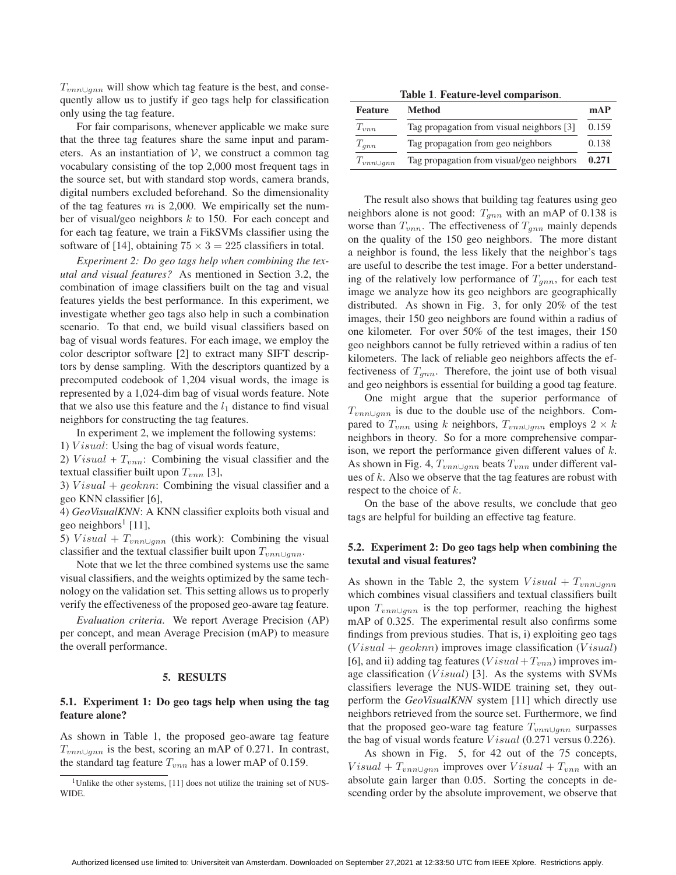$T_{vnn\cup qnn}$  will show which tag feature is the best, and consequently allow us to justify if geo tags help for classification only using the tag feature.

For fair comparisons, whenever applicable we make sure that the three tag features share the same input and parameters. As an instantiation of  $V$ , we construct a common tag vocabulary consisting of the top 2,000 most frequent tags in the source set, but with standard stop words, camera brands, digital numbers excluded beforehand. So the dimensionality of the tag features  $m$  is 2,000. We empirically set the number of visual/geo neighbors k to 150. For each concept and for each tag feature, we train a FikSVMs classifier using the software of [14], obtaining  $75 \times 3 = 225$  classifiers in total.

*Experiment 2: Do geo tags help when combining the texutal and visual features?* As mentioned in Section 3.2, the combination of image classifiers built on the tag and visual features yields the best performance. In this experiment, we investigate whether geo tags also help in such a combination scenario. To that end, we build visual classifiers based on bag of visual words features. For each image, we employ the color descriptor software [2] to extract many SIFT descriptors by dense sampling. With the descriptors quantized by a precomputed codebook of 1,204 visual words, the image is represented by a 1,024-dim bag of visual words feature. Note that we also use this feature and the  $l_1$  distance to find visual neighbors for constructing the tag features.

In experiment 2, we implement the following systems:

1)  $Visual: Using the bag of visual words feature,$ 

2) Visual +  $T_{vnn}$ : Combining the visual classifier and the textual classifier built upon  $T_{vnn}$  [3],

3)  $Visual + geoknn$ : Combining the visual classifier and a geo KNN classifier [6],

4) *GeoVisualKNN*: A KNN classifier exploits both visual and geo neighbors<sup>1</sup> [11],

5) Visual +  $T_{vnn\cup qnn}$  (this work): Combining the visual classifier and the textual classifier built upon  $T_{vnn\cup gnn}$ .

Note that we let the three combined systems use the same visual classifiers, and the weights optimized by the same technology on the validation set. This setting allows us to properly verify the effectiveness of the proposed geo-aware tag feature.

*Evaluation criteria*. We report Average Precision (AP) per concept, and mean Average Precision (mAP) to measure the overall performance.

### **5. RESULTS**

# **5.1. Experiment 1: Do geo tags help when using the tag feature alone?**

As shown in Table 1, the proposed geo-aware tag feature  $T_{vnn\cup qnn}$  is the best, scoring an mAP of 0.271. In contrast, the standard tag feature  $T_{vnn}$  has a lower mAP of 0.159.

**Table 1**. **Feature-level comparison**.

| <b>Feature</b>     | Method                                    | mAP   |
|--------------------|-------------------------------------------|-------|
| $T_{vnn}$          | Tag propagation from visual neighbors [3] | 0.159 |
| $T_{gnn}$          | Tag propagation from geo neighbors        | 0.138 |
| $T_{vnn \cup gnn}$ | Tag propagation from visual/geo neighbors | 0.271 |
|                    |                                           |       |

The result also shows that building tag features using geo neighbors alone is not good:  $T_{gnn}$  with an mAP of 0.138 is worse than  $T_{vnn}$ . The effectiveness of  $T_{ann}$  mainly depends on the quality of the 150 geo neighbors. The more distant a neighbor is found, the less likely that the neighbor's tags are useful to describe the test image. For a better understanding of the relatively low performance of  $T_{gnn}$ , for each test image we analyze how its geo neighbors are geographically distributed. As shown in Fig. 3, for only 20% of the test images, their 150 geo neighbors are found within a radius of one kilometer. For over 50% of the test images, their 150 geo neighbors cannot be fully retrieved within a radius of ten kilometers. The lack of reliable geo neighbors affects the effectiveness of  $T_{qnn}$ . Therefore, the joint use of both visual and geo neighbors is essential for building a good tag feature.

One might argue that the superior performance of  $T_{vnn\cup gnn}$  is due to the double use of the neighbors. Compared to  $T_{vnn}$  using k neighbors,  $T_{vnn\cup gnn}$  employs  $2 \times k$ neighbors in theory. So for a more comprehensive comparison, we report the performance given different values of k. As shown in Fig. 4,  $T_{vnn\cup qnn}$  beats  $T_{vnn}$  under different values of  $k$ . Also we observe that the tag features are robust with respect to the choice of k.

On the base of the above results, we conclude that geo tags are helpful for building an effective tag feature.

## **5.2. Experiment 2: Do geo tags help when combining the texutal and visual features?**

As shown in the Table 2, the system  $Visual + T_{vm} \cup$ which combines visual classifiers and textual classifiers built upon  $T_{vnn\cup qnn}$  is the top performer, reaching the highest mAP of 0.325. The experimental result also confirms some findings from previous studies. That is, i) exploiting geo tags  $(V isual + geoknn)$  improves image classification  $(V isual)$ [6], and ii) adding tag features ( $Visual+T_{vnn}$ ) improves image classification ( $Visual$ ) [3]. As the systems with SVMs classifiers leverage the NUS-WIDE training set, they outperform the *GeoVisualKNN* system [11] which directly use neighbors retrieved from the source set. Furthermore, we find that the proposed geo-ware tag feature  $T_{vnn\cup gnn}$  surpasses the bag of visual words feature *V* isual (0.271 versus 0.226).

As shown in Fig. 5, for 42 out of the 75 concepts,  $Visual + T_{vnn} \cup_{gnn}$  improves over  $Visual + T_{vnn}$  with an absolute gain larger than 0.05. Sorting the concepts in descending order by the absolute improvement, we observe that

<sup>&</sup>lt;sup>1</sup>Unlike the other systems, [11] does not utilize the training set of NUS-WIDE.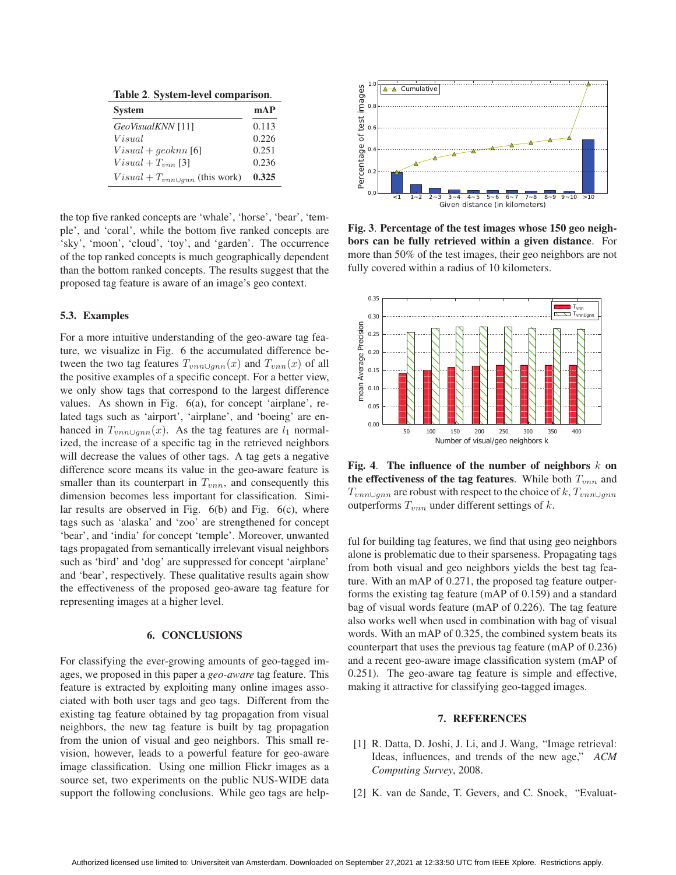**Table 2**. **System-level comparison**.

| <b>System</b>                           | mAP   |
|-----------------------------------------|-------|
| GeoVisualKNN [11]                       | 0.113 |
| Visual                                  | 0.226 |
| $Visual + qeoknn$ [6]                   | 0.251 |
| $Visual + T_{vnn}$ [3]                  | 0.236 |
| $Visual + T_{vnn \cup qnn}$ (this work) | 0.325 |

the top five ranked concepts are 'whale', 'horse', 'bear', 'temple', and 'coral', while the bottom five ranked concepts are 'sky', 'moon', 'cloud', 'toy', and 'garden'. The occurrence of the top ranked concepts is much geographically dependent than the bottom ranked concepts. The results suggest that the proposed tag feature is aware of an image's geo context.

# **5.3. Examples**

For a more intuitive understanding of the geo-aware tag feature, we visualize in Fig. 6 the accumulated difference between the two tag features  $T_{vnn\cup qnn}(x)$  and  $T_{vnn}(x)$  of all the positive examples of a specific concept. For a better view, we only show tags that correspond to the largest difference values. As shown in Fig. 6(a), for concept 'airplane', related tags such as 'airport', 'airplane', and 'boeing' are enhanced in  $T_{vnn\cup gnn}(x)$ . As the tag features are  $l_1$  normalized, the increase of a specific tag in the retrieved neighbors will decrease the values of other tags. A tag gets a negative difference score means its value in the geo-aware feature is smaller than its counterpart in  $T_{vnn}$ , and consequently this dimension becomes less important for classification. Similar results are observed in Fig.  $6(b)$  and Fig.  $6(c)$ , where tags such as 'alaska' and 'zoo' are strengthened for concept 'bear', and 'india' for concept 'temple'. Moreover, unwanted tags propagated from semantically irrelevant visual neighbors such as 'bird' and 'dog' are suppressed for concept 'airplane' and 'bear', respectively. These qualitative results again show the effectiveness of the proposed geo-aware tag feature for representing images at a higher level.

#### **6. CONCLUSIONS**

For classifying the ever-growing amounts of geo-tagged images, we proposed in this paper a *geo-aware* tag feature. This feature is extracted by exploiting many online images associated with both user tags and geo tags. Different from the existing tag feature obtained by tag propagation from visual neighbors, the new tag feature is built by tag propagation from the union of visual and geo neighbors. This small revision, however, leads to a powerful feature for geo-aware image classification. Using one million Flickr images as a source set, two experiments on the public NUS-WIDE data support the following conclusions. While geo tags are help-



**Fig. 3**. **Percentage of the test images whose 150 geo neighbors can be fully retrieved within a given distance**. For more than 50% of the test images, their geo neighbors are not fully covered within a radius of 10 kilometers.



**Fig. 4**. **The influence of the number of neighbors** k **on the effectiveness of the tag features**. While both  $T_{vnn}$  and  $T_{vnn\cup qnn}$  are robust with respect to the choice of k,  $T_{vnn\cup qnn}$ outperforms  $T_{vnn}$  under different settings of k.

ful for building tag features, we find that using geo neighbors alone is problematic due to their sparseness. Propagating tags from both visual and geo neighbors yields the best tag feature. With an mAP of 0.271, the proposed tag feature outperforms the existing tag feature (mAP of 0.159) and a standard bag of visual words feature (mAP of 0.226). The tag feature also works well when used in combination with bag of visual words. With an mAP of 0.325, the combined system beats its counterpart that uses the previous tag feature (mAP of 0.236) and a recent geo-aware image classification system (mAP of 0.251). The geo-aware tag feature is simple and effective, making it attractive for classifying geo-tagged images.

# **7. REFERENCES**

- [1] R. Datta, D. Joshi, J. Li, and J. Wang, "Image retrieval: Ideas, influences, and trends of the new age," *ACM Computing Survey*, 2008.
- [2] K. van de Sande, T. Gevers, and C. Snoek, "Evaluat-